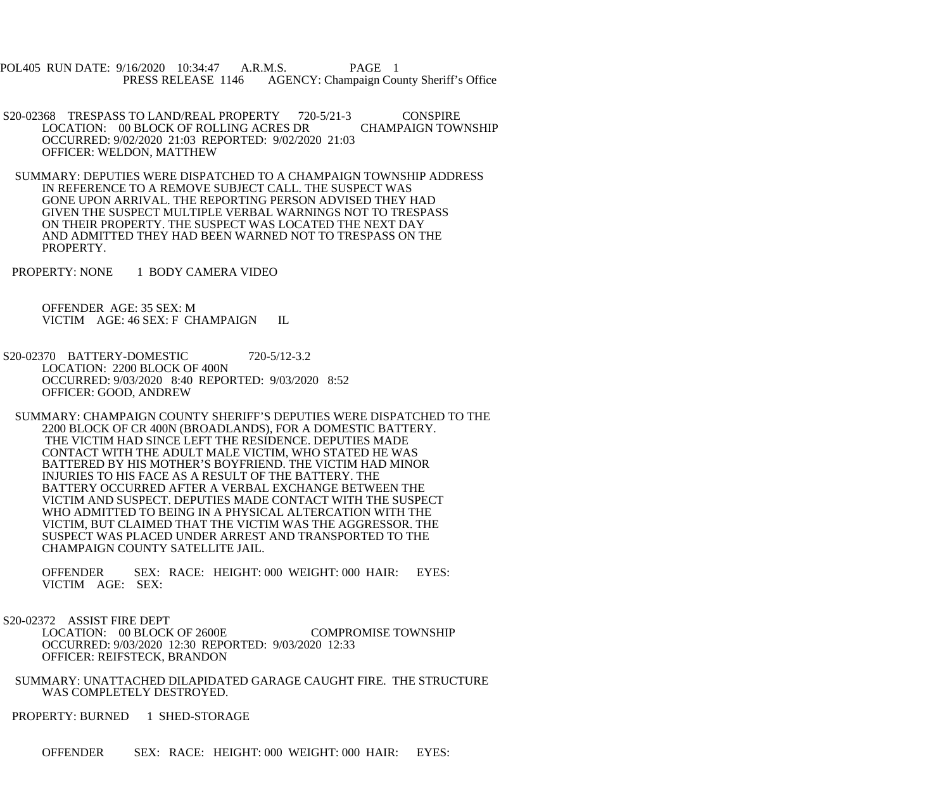POL405 RUN DATE: 9/16/2020 10:34:47 A.R.M.S. PAGE 1 PRESS RELEASE 1146 AGENCY: Champaign County Sheriff's Office

- S20-02368 TRESPASS TO LAND/REAL PROPERTY 720-5/21-3 CONSPIRE<br>LOCATION: 00 BLOCK OF ROLLING ACRES DR CHAMPAIGN TOWNSHIP LOCATION: 00 BLOCK OF ROLLING ACRES DR OCCURRED: 9/02/2020 21:03 REPORTED: 9/02/2020 21:03 OFFICER: WELDON, MATTHEW
- SUMMARY: DEPUTIES WERE DISPATCHED TO A CHAMPAIGN TOWNSHIP ADDRESS IN REFERENCE TO A REMOVE SUBJECT CALL. THE SUSPECT WAS GONE UPON ARRIVAL. THE REPORTING PERSON ADVISED THEY HAD GIVEN THE SUSPECT MULTIPLE VERBAL WARNINGS NOT TO TRESPASS ON THEIR PROPERTY. THE SUSPECT WAS LOCATED THE NEXT DAY AND ADMITTED THEY HAD BEEN WARNED NOT TO TRESPASS ON THE PROPERTY.
- PROPERTY: NONE 1 BODY CAMERA VIDEO

 OFFENDER AGE: 35 SEX: M VICTIM AGE: 46 SEX: F CHAMPAIGN IL

- S20-02370 BATTERY-DOMESTIC 720-5/12-3.2 LOCATION: 2200 BLOCK OF 400N OCCURRED: 9/03/2020 8:40 REPORTED: 9/03/2020 8:52 OFFICER: GOOD, ANDREW
- SUMMARY: CHAMPAIGN COUNTY SHERIFF'S DEPUTIES WERE DISPATCHED TO THE 2200 BLOCK OF CR 400N (BROADLANDS), FOR A DOMESTIC BATTERY. THE VICTIM HAD SINCE LEFT THE RESIDENCE. DEPUTIES MADE CONTACT WITH THE ADULT MALE VICTIM, WHO STATED HE WAS BATTERED BY HIS MOTHER'S BOYFRIEND. THE VICTIM HAD MINOR INJURIES TO HIS FACE AS A RESULT OF THE BATTERY. THE BATTERY OCCURRED AFTER A VERBAL EXCHANGE BETWEEN THE VICTIM AND SUSPECT. DEPUTIES MADE CONTACT WITH THE SUSPECT WHO ADMITTED TO BEING IN A PHYSICAL ALTERCATION WITH THE VICTIM, BUT CLAIMED THAT THE VICTIM WAS THE AGGRESSOR. THE SUSPECT WAS PLACED UNDER ARREST AND TRANSPORTED TO THE CHAMPAIGN COUNTY SATELLITE JAIL.

 OFFENDER SEX: RACE: HEIGHT: 000 WEIGHT: 000 HAIR: EYES: VICTIM AGE: SEX:

S20-02372 ASSIST FIRE DEPT

 LOCATION: 00 BLOCK OF 2600E COMPROMISE TOWNSHIP OCCURRED: 9/03/2020 12:30 REPORTED: 9/03/2020 12:33 OFFICER: REIFSTECK, BRANDON

 SUMMARY: UNATTACHED DILAPIDATED GARAGE CAUGHT FIRE. THE STRUCTURE WAS COMPLETELY DESTROYED.

PROPERTY: BURNED 1 SHED-STORAGE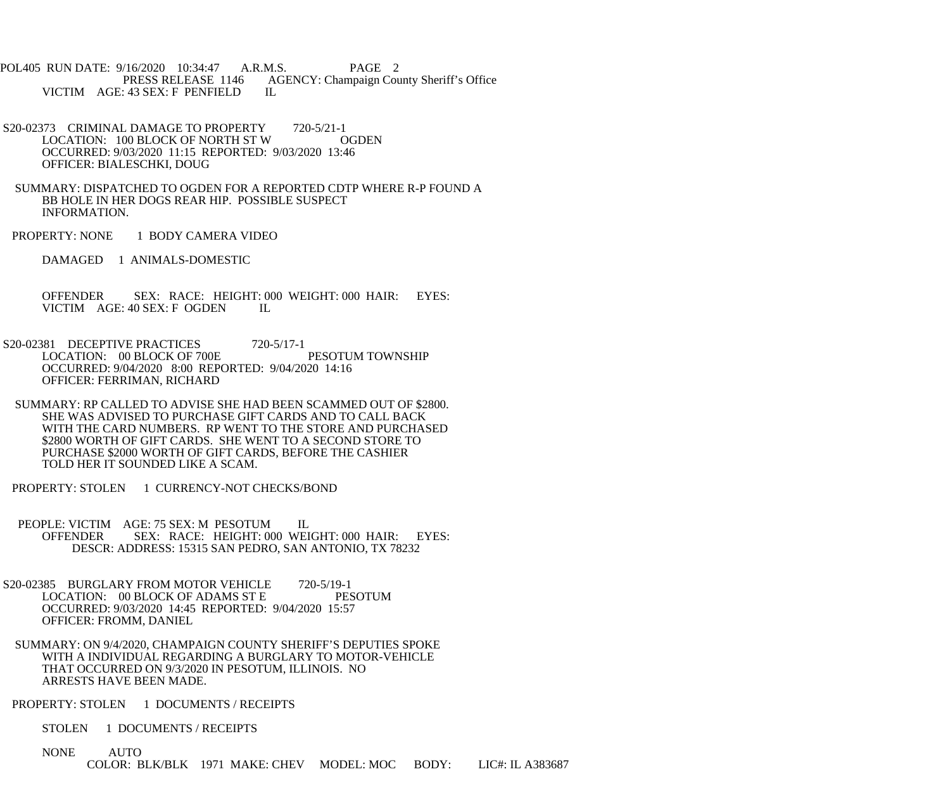POL405 RUN DATE: 9/16/2020 10:34:47 A.R.M.S. PAGE 2 PRESS RELEASE 1146 AGENCY: Champaign County Sheriff's Office VICTIM AGE: 43 SEX: F PENFIELD IL

- S20-02373 CRIMINAL DAMAGE TO PROPERTY 720-5/21-1 LOCATION: 100 BLOCK OF NORTH ST W OGDEN OCCURRED: 9/03/2020 11:15 REPORTED: 9/03/2020 13:46 OFFICER: BIALESCHKI, DOUG
- SUMMARY: DISPATCHED TO OGDEN FOR A REPORTED CDTP WHERE R-P FOUND A BB HOLE IN HER DOGS REAR HIP. POSSIBLE SUSPECT INFORMATION.
- PROPERTY: NONE 1 BODY CAMERA VIDEO
	- DAMAGED 1 ANIMALS-DOMESTIC

 OFFENDER SEX: RACE: HEIGHT: 000 WEIGHT: 000 HAIR: EYES: VICTIM AGE: 40 SEX: F OGDEN IL

- S20-02381 DECEPTIVE PRACTICES 720-5/17-1 LOCATION: 00 BLOCK OF 700E PESOTUM TOWNSHIP OCCURRED: 9/04/2020 8:00 REPORTED: 9/04/2020 14:16 OFFICER: FERRIMAN, RICHARD
- SUMMARY: RP CALLED TO ADVISE SHE HAD BEEN SCAMMED OUT OF \$2800. SHE WAS ADVISED TO PURCHASE GIFT CARDS AND TO CALL BACK WITH THE CARD NUMBERS. RP WENT TO THE STORE AND PURCHASED \$2800 WORTH OF GIFT CARDS. SHE WENT TO A SECOND STORE TO PURCHASE \$2000 WORTH OF GIFT CARDS, BEFORE THE CASHIER TOLD HER IT SOUNDED LIKE A SCAM.
- PROPERTY: STOLEN 1 CURRENCY-NOT CHECKS/BOND
- PEOPLE: VICTIM AGE: 75 SEX: M PESOTUM IL OFFENDER SEX: RACE: HEIGHT: 000 WEIGHT: 000 HAIR: EYES: DESCR: ADDRESS: 15315 SAN PEDRO, SAN ANTONIO, TX 78232
- S20-02385 BURGLARY FROM MOTOR VEHICLE 720-5/19-1<br>LOCATION: 00 BLOCK OF ADAMS ST E PESOTUM LOCATION: 00 BLOCK OF ADAMS ST E OCCURRED: 9/03/2020 14:45 REPORTED: 9/04/2020 15:57 OFFICER: FROMM, DANIEL
- SUMMARY: ON 9/4/2020, CHAMPAIGN COUNTY SHERIFF'S DEPUTIES SPOKE WITH A INDIVIDUAL REGARDING A BURGLARY TO MOTOR-VEHICLE THAT OCCURRED ON 9/3/2020 IN PESOTUM, ILLINOIS. NO ARRESTS HAVE BEEN MADE.
- PROPERTY: STOLEN 1 DOCUMENTS / RECEIPTS
	- STOLEN 1 DOCUMENTS / RECEIPTS
	- NONE AUTO COLOR: BLK/BLK 1971 MAKE: CHEV MODEL: MOC BODY: LIC#: IL A383687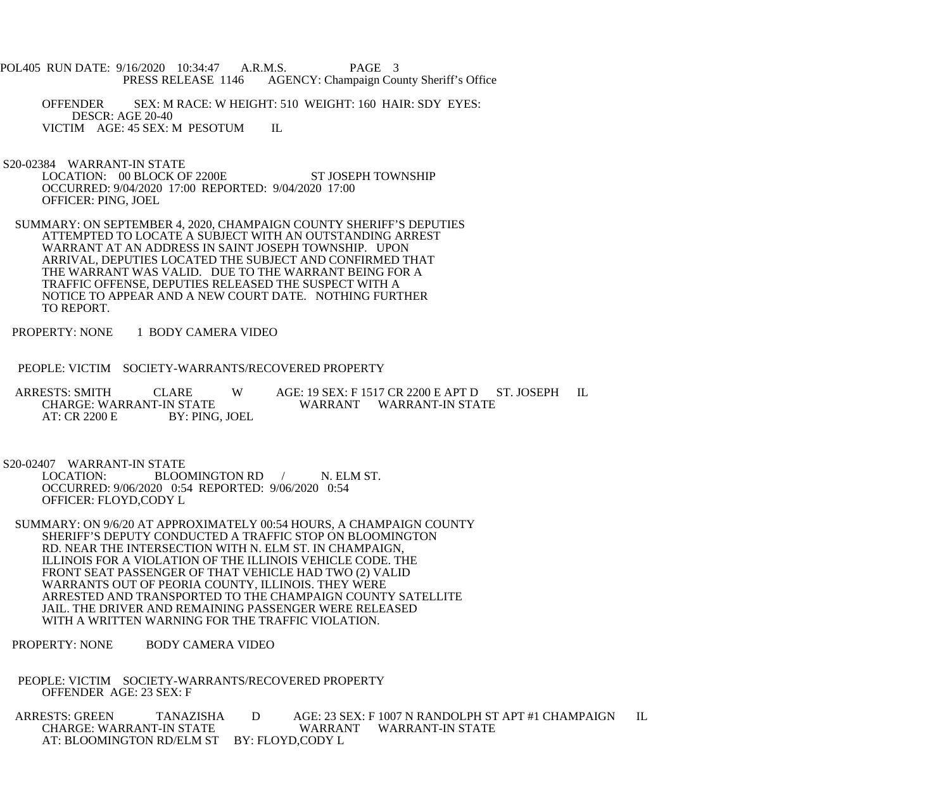- POL405 RUN DATE: 9/16/2020 10:34:47 A.R.M.S. PAGE 3<br>PRESS RELEASE 1146 AGENCY: Champaign Cou AGENCY: Champaign County Sheriff's Office
	- OFFENDER SEX: M RACE: W HEIGHT: 510 WEIGHT: 160 HAIR: SDY EYES: DESCR: AGE 20-40 VICTIM AGE: 45 SEX: M PESOTUM IL
- S20-02384 WARRANT-IN STATE LOCATION: 00 BLOCK OF 2200E ST JOSEPH TOWNSHIP OCCURRED: 9/04/2020 17:00 REPORTED: 9/04/2020 17:00 OFFICER: PING, JOEL
- SUMMARY: ON SEPTEMBER 4, 2020, CHAMPAIGN COUNTY SHERIFF'S DEPUTIES ATTEMPTED TO LOCATE A SUBJECT WITH AN OUTSTANDING ARREST WARRANT AT AN ADDRESS IN SAINT JOSEPH TOWNSHIP. UPON ARRIVAL, DEPUTIES LOCATED THE SUBJECT AND CONFIRMED THAT THE WARRANT WAS VALID. DUE TO THE WARRANT BEING FOR A TRAFFIC OFFENSE, DEPUTIES RELEASED THE SUSPECT WITH A NOTICE TO APPEAR AND A NEW COURT DATE. NOTHING FURTHER TO REPORT.
- PROPERTY: NONE 1 BODY CAMERA VIDEO
- PEOPLE: VICTIM SOCIETY-WARRANTS/RECOVERED PROPERTY

ARRESTS: SMITH CLARE W AGE: 19 SEX: F 1517 CR 2200 E APT D ST. JOSEPH IL CHARGE: WARRANT-IN STATE WARRANT WARRANT-IN STATE CHARGE: WARRANT-IN STATE WARRANT WARRANT-IN STATE<br>AT: CR 2200 E BY: PING, JOEL BY: PING, JOEL

S20-02407 WARRANT-IN STATE<br>LOCATION: BLOO BLOOMINGTON RD / N. ELM ST. OCCURRED: 9/06/2020 0:54 REPORTED: 9/06/2020 0:54 OFFICER: FLOYD,CODY L

- SUMMARY: ON 9/6/20 AT APPROXIMATELY 00:54 HOURS, A CHAMPAIGN COUNTY SHERIFF'S DEPUTY CONDUCTED A TRAFFIC STOP ON BLOOMINGTON RD. NEAR THE INTERSECTION WITH N. ELM ST. IN CHAMPAIGN, ILLINOIS FOR A VIOLATION OF THE ILLINOIS VEHICLE CODE. THE FRONT SEAT PASSENGER OF THAT VEHICLE HAD TWO (2) VALID WARRANTS OUT OF PEORIA COUNTY, ILLINOIS. THEY WERE ARRESTED AND TRANSPORTED TO THE CHAMPAIGN COUNTY SATELLITE JAIL. THE DRIVER AND REMAINING PASSENGER WERE RELEASED WITH A WRITTEN WARNING FOR THE TRAFFIC VIOLATION.
- PROPERTY: NONE BODY CAMERA VIDEO
- PEOPLE: VICTIM SOCIETY-WARRANTS/RECOVERED PROPERTY OFFENDER AGE: 23 SEX: F

ARRESTS: GREEN TANAZISHA D AGE: 23 SEX: F 1007 N RANDOLPH ST APT #1 CHAMPAIGN IL<br>CHARGE: WARRANT-IN STATE WARRANT WARRANT-IN STATE WARRANT WARRANT-IN STATE AT: BLOOMINGTON RD/ELM ST BY: FLOYD,CODY L